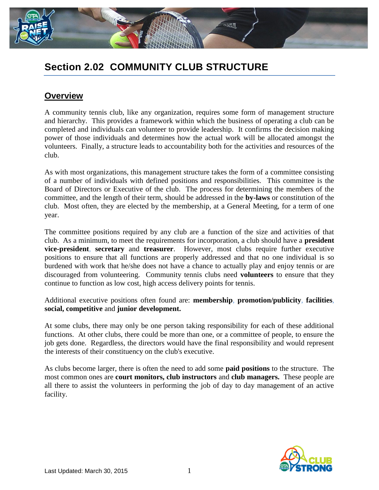

# **Section 2.02 COMMUNITY CLUB STRUCTURE**

### **Overview**

A community tennis club, like any organization, requires some form of management structure and hierarchy. This provides a framework within which the business of operating a club can be completed and individuals can volunteer to provide leadership. It confirms the decision making power of those individuals and determines how the actual work will be allocated amongst the volunteers. Finally, a structure leads to accountability both for the activities and resources of the club.

As with most organizations, this management structure takes the form of a committee consisting of a number of individuals with defined positions and responsibilities. This committee is the Board of Directors or Executive of the club. The process for determining the members of the committee, and the length of their term, should be addressed in the **by-laws** or constitution of the club. Most often, they are elected by the membership, at a General Meeting, for a term of one year.

The committee positions required by any club are a function of the size and activities of that club. As a minimum, to meet the requirements for incorporation, a club should have a **president vice-president**, **secretary** and **treasurer**. However, most clubs require further executive positions to ensure that all functions are properly addressed and that no one individual is so burdened with work that he/she does not have a chance to actually play and enjoy tennis or are discouraged from volunteering. Community tennis clubs need **volunteers** to ensure that they continue to function as low cost, high access delivery points for tennis.

Additional executive positions often found are: **membership**, **promotion/publicity**, **facilities**, **social, competitive** and **junior development.**

At some clubs, there may only be one person taking responsibility for each of these additional functions. At other clubs, there could be more than one, or a committee of people, to ensure the job gets done. Regardless, the directors would have the final responsibility and would represent the interests of their constituency on the club's executive.

As clubs become larger, there is often the need to add some **paid positions** to the structure. The most common ones are **court monitors, club instructors** and **club managers.** These people are all there to assist the volunteers in performing the job of day to day management of an active facility.

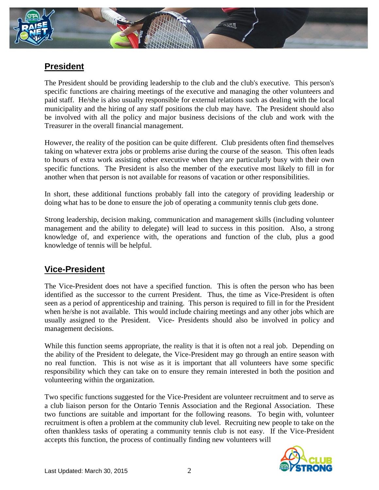

## **President**

The President should be providing leadership to the club and the club's executive. This person's specific functions are chairing meetings of the executive and managing the other volunteers and paid staff. He/she is also usually responsible for external relations such as dealing with the local municipality and the hiring of any staff positions the club may have. The President should also be involved with all the policy and major business decisions of the club and work with the Treasurer in the overall financial management.

However, the reality of the position can be quite different. Club presidents often find themselves taking on whatever extra jobs or problems arise during the course of the season. This often leads to hours of extra work assisting other executive when they are particularly busy with their own specific functions. The President is also the member of the executive most likely to fill in for another when that person is not available for reasons of vacation or other responsibilities.

In short, these additional functions probably fall into the category of providing leadership or doing what has to be done to ensure the job of operating a community tennis club gets done.

Strong leadership, decision making, communication and management skills (including volunteer management and the ability to delegate) will lead to success in this position. Also, a strong knowledge of, and experience with, the operations and function of the club, plus a good knowledge of tennis will be helpful.

# **Vice-President**

The Vice-President does not have a specified function. This is often the person who has been identified as the successor to the current President. Thus, the time as Vice-President is often seen as a period of apprenticeship and training. This person is required to fill in for the President when he/she is not available. This would include chairing meetings and any other jobs which are usually assigned to the President. Vice- Presidents should also be involved in policy and management decisions.

While this function seems appropriate, the reality is that it is often not a real job. Depending on the ability of the President to delegate, the Vice-President may go through an entire season with no real function. This is not wise as it is important that all volunteers have some specific responsibility which they can take on to ensure they remain interested in both the position and volunteering within the organization.

Two specific functions suggested for the Vice-President are volunteer recruitment and to serve as a club liaison person for the Ontario Tennis Association and the Regional Association. These two functions are suitable and important for the following reasons. To begin with, volunteer recruitment is often a problem at the community club level. Recruiting new people to take on the often thankless tasks of operating a community tennis club is not easy. If the Vice-President accepts this function, the process of continually finding new volunteers will

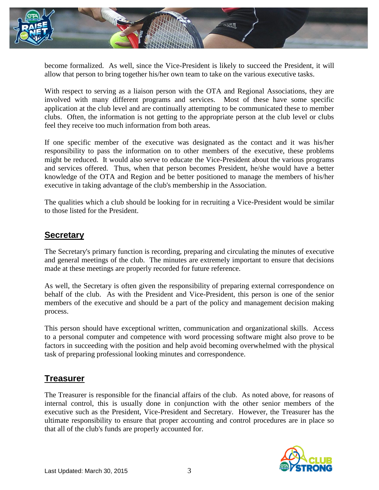

become formalized. As well, since the Vice-President is likely to succeed the President, it will allow that person to bring together his/her own team to take on the various executive tasks.

With respect to serving as a liaison person with the OTA and Regional Associations, they are involved with many different programs and services. Most of these have some specific application at the club level and are continually attempting to be communicated these to member clubs. Often, the information is not getting to the appropriate person at the club level or clubs feel they receive too much information from both areas.

If one specific member of the executive was designated as the contact and it was his/her responsibility to pass the information on to other members of the executive, these problems might be reduced. It would also serve to educate the Vice-President about the various programs and services offered. Thus, when that person becomes President, he/she would have a better knowledge of the OTA and Region and be better positioned to manage the members of his/her executive in taking advantage of the club's membership in the Association.

The qualities which a club should be looking for in recruiting a Vice-President would be similar to those listed for the President.

### **Secretary**

The Secretary's primary function is recording, preparing and circulating the minutes of executive and general meetings of the club. The minutes are extremely important to ensure that decisions made at these meetings are properly recorded for future reference.

As well, the Secretary is often given the responsibility of preparing external correspondence on behalf of the club. As with the President and Vice-President, this person is one of the senior members of the executive and should be a part of the policy and management decision making process.

This person should have exceptional written, communication and organizational skills. Access to a personal computer and competence with word processing software might also prove to be factors in succeeding with the position and help avoid becoming overwhelmed with the physical task of preparing professional looking minutes and correspondence.

### **Treasurer**

The Treasurer is responsible for the financial affairs of the club. As noted above, for reasons of internal control, this is usually done in conjunction with the other senior members of the executive such as the President, Vice-President and Secretary. However, the Treasurer has the ultimate responsibility to ensure that proper accounting and control procedures are in place so that all of the club's funds are properly accounted for.

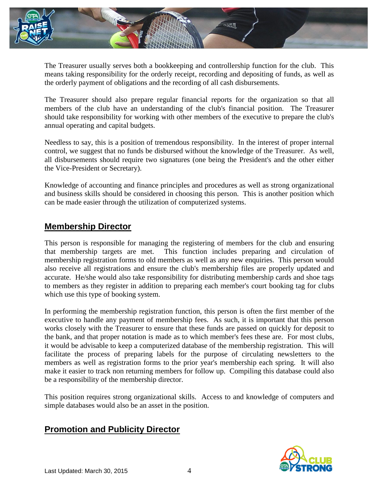

The Treasurer usually serves both a bookkeeping and controllership function for the club. This means taking responsibility for the orderly receipt, recording and depositing of funds, as well as the orderly payment of obligations and the recording of all cash disbursements.

The Treasurer should also prepare regular financial reports for the organization so that all members of the club have an understanding of the club's financial position. The Treasurer should take responsibility for working with other members of the executive to prepare the club's annual operating and capital budgets.

Needless to say, this is a position of tremendous responsibility. In the interest of proper internal control, we suggest that no funds be disbursed without the knowledge of the Treasurer. As well, all disbursements should require two signatures (one being the President's and the other either the Vice-President or Secretary).

Knowledge of accounting and finance principles and procedures as well as strong organizational and business skills should be considered in choosing this person. This is another position which can be made easier through the utilization of computerized systems.

### **Membership Director**

This person is responsible for managing the registering of members for the club and ensuring that membership targets are met. This function includes preparing and circulation of membership registration forms to old members as well as any new enquiries. This person would also receive all registrations and ensure the club's membership files are properly updated and accurate. He/she would also take responsibility for distributing membership cards and shoe tags to members as they register in addition to preparing each member's court booking tag for clubs which use this type of booking system.

In performing the membership registration function, this person is often the first member of the executive to handle any payment of membership fees. As such, it is important that this person works closely with the Treasurer to ensure that these funds are passed on quickly for deposit to the bank, and that proper notation is made as to which member's fees these are. For most clubs, it would be advisable to keep a computerized database of the membership registration. This will facilitate the process of preparing labels for the purpose of circulating newsletters to the members as well as registration forms to the prior year's membership each spring. It will also make it easier to track non returning members for follow up. Compiling this database could also be a responsibility of the membership director.

This position requires strong organizational skills. Access to and knowledge of computers and simple databases would also be an asset in the position.

### **Promotion and Publicity Director**

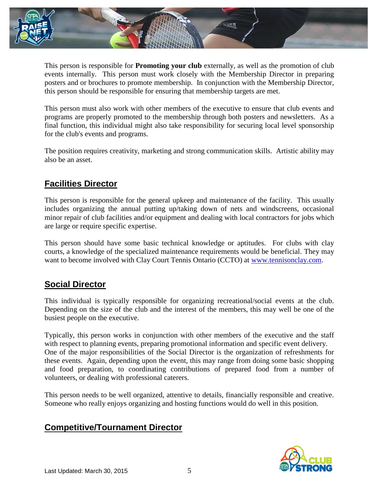

This person is responsible for **Promoting your club** externally, as well as the promotion of club events internally. This person must work closely with the Membership Director in preparing posters and or brochures to promote membership. In conjunction with the Membership Director, this person should be responsible for ensuring that membership targets are met.

This person must also work with other members of the executive to ensure that club events and programs are properly promoted to the membership through both posters and newsletters. As a final function, this individual might also take responsibility for securing local level sponsorship for the club's events and programs.

The position requires creativity, marketing and strong communication skills. Artistic ability may also be an asset.

# **Facilities Director**

This person is responsible for the general upkeep and maintenance of the facility. This usually includes organizing the annual putting up/taking down of nets and windscreens, occasional minor repair of club facilities and/or equipment and dealing with local contractors for jobs which are large or require specific expertise.

This person should have some basic technical knowledge or aptitudes. For clubs with clay courts, a knowledge of the specialized maintenance requirements would be beneficial. They may want to become involved with Clay Court Tennis Ontario (CCTO) at [www.tennisonclay.com.](http://www.tennisonclay.com/)

### **Social Director**

This individual is typically responsible for organizing recreational/social events at the club. Depending on the size of the club and the interest of the members, this may well be one of the busiest people on the executive.

Typically, this person works in conjunction with other members of the executive and the staff with respect to planning events, preparing promotional information and specific event delivery. One of the major responsibilities of the Social Director is the organization of refreshments for these events. Again, depending upon the event, this may range from doing some basic shopping and food preparation, to coordinating contributions of prepared food from a number of volunteers, or dealing with professional caterers.

This person needs to be well organized, attentive to details, financially responsible and creative. Someone who really enjoys organizing and hosting functions would do well in this position.

### **Competitive/Tournament Director**

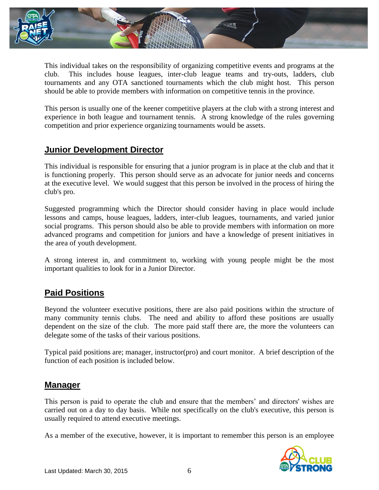

This individual takes on the responsibility of organizing competitive events and programs at the club. This includes house leagues, inter-club league teams and try-outs, ladders, club tournaments and any OTA sanctioned tournaments which the club might host. This person should be able to provide members with information on competitive tennis in the province.

This person is usually one of the keener competitive players at the club with a strong interest and experience in both league and tournament tennis. A strong knowledge of the rules governing competition and prior experience organizing tournaments would be assets.

### **Junior Development Director**

This individual is responsible for ensuring that a junior program is in place at the club and that it is functioning properly. This person should serve as an advocate for junior needs and concerns at the executive level. We would suggest that this person be involved in the process of hiring the club's pro.

Suggested programming which the Director should consider having in place would include lessons and camps, house leagues, ladders, inter-club leagues, tournaments, and varied junior social programs. This person should also be able to provide members with information on more advanced programs and competition for juniors and have a knowledge of present initiatives in the area of youth development.

A strong interest in, and commitment to, working with young people might be the most important qualities to look for in a Junior Director.

# **Paid Positions**

Beyond the volunteer executive positions, there are also paid positions within the structure of many community tennis clubs. The need and ability to afford these positions are usually dependent on the size of the club. The more paid staff there are, the more the volunteers can delegate some of the tasks of their various positions.

Typical paid positions are; manager, instructor(pro) and court monitor. A brief description of the function of each position is included below.

#### **Manager**

This person is paid to operate the club and ensure that the members' and directors' wishes are carried out on a day to day basis. While not specifically on the club's executive, this person is usually required to attend executive meetings.

As a member of the executive, however, it is important to remember this person is an employee